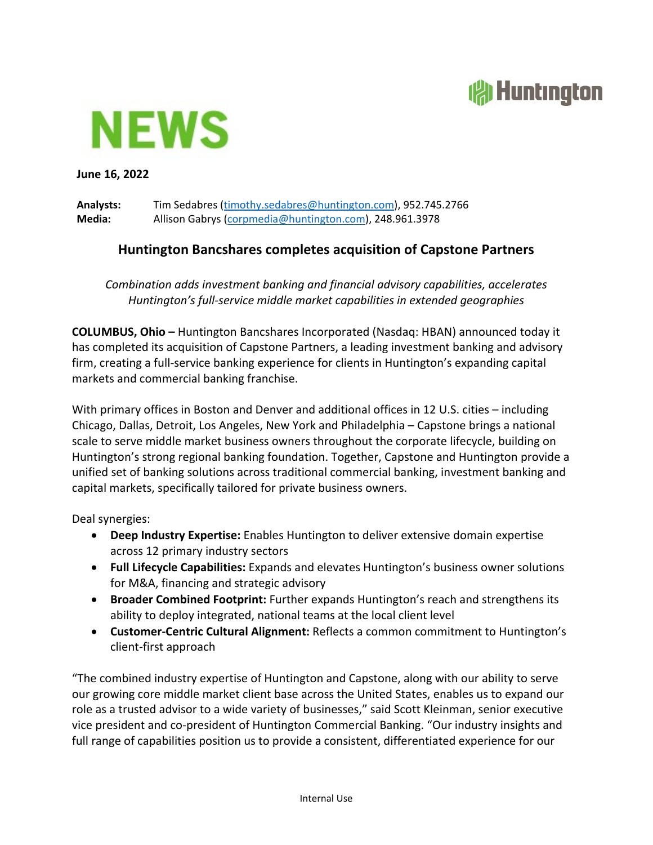## **All Huntington**



**June 16, 2022**

**Analysts:** Tim Sedabres [\(timothy.sedabres@huntington.com\)](mailto:timothy.sedabres@huntington.com), 952.745.2766 **Media:** Allison Gabrys [\(corpmedia@huntington.com\)](mailto:corpmedia@huntington.com), 248.961.3978

## **Huntington Bancshares completes acquisition of Capstone Partners**

*Combination adds investment banking and financial advisory capabilities, accelerates Huntington's full-service middle market capabilities in extended geographies*

**COLUMBUS, Ohio –** Huntington Bancshares Incorporated (Nasdaq: HBAN) announced today it has completed its acquisition of Capstone Partners, a leading investment banking and advisory firm, creating a full-service banking experience for clients in Huntington's expanding capital markets and commercial banking franchise.

With primary offices in Boston and Denver and additional offices in 12 U.S. cities – including Chicago, Dallas, Detroit, Los Angeles, New York and Philadelphia – Capstone brings a national scale to serve middle market business owners throughout the corporate lifecycle, building on Huntington's strong regional banking foundation. Together, Capstone and Huntington provide a unified set of banking solutions across traditional commercial banking, investment banking and capital markets, specifically tailored for private business owners.

Deal synergies:

- **Deep Industry Expertise:** Enables Huntington to deliver extensive domain expertise across 12 primary industry sectors
- **Full Lifecycle Capabilities:** Expands and elevates Huntington's business owner solutions for M&A, financing and strategic advisory
- **Broader Combined Footprint:** Further expands Huntington's reach and strengthens its ability to deploy integrated, national teams at the local client level
- **Customer-Centric Cultural Alignment:** Reflects a common commitment to Huntington's client-first approach

"The combined industry expertise of Huntington and Capstone, along with our ability to serve our growing core middle market client base across the United States, enables us to expand our role as a trusted advisor to a wide variety of businesses," said Scott Kleinman, senior executive vice president and co-president of Huntington Commercial Banking. "Our industry insights and full range of capabilities position us to provide a consistent, differentiated experience for our